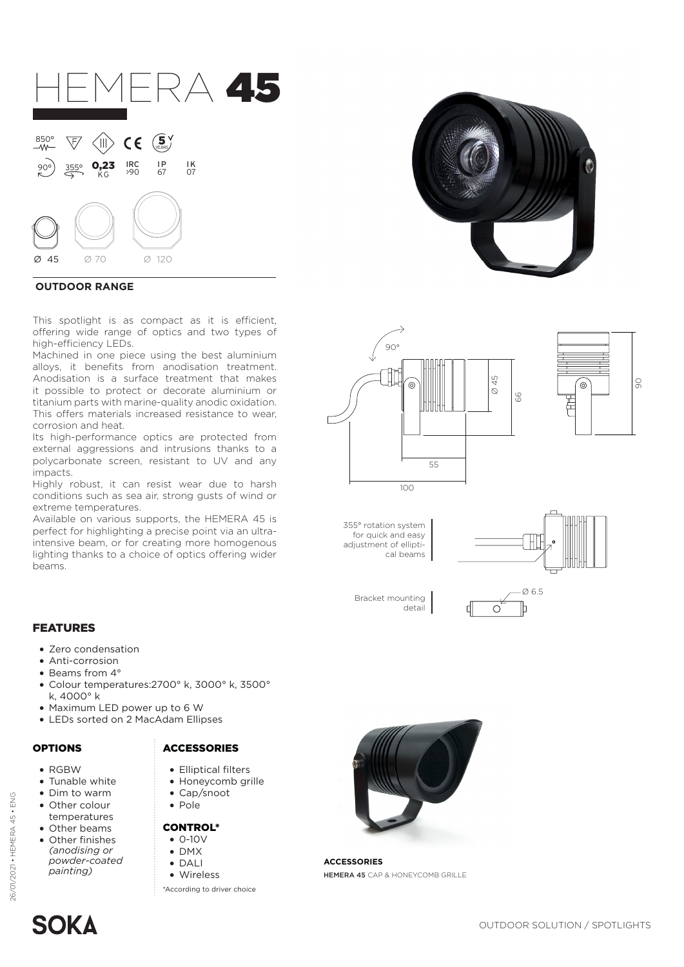

## **OUTDOOR RANGE**

This spotlight is as compact as it is efficient, offering wide range of optics and two types of high-efficiency LEDs.

Machined in one piece using the best aluminium alloys, it benefits from anodisation treatment. Anodisation is a surface treatment that makes it possible to protect or decorate aluminium or titanium parts with marine-quality anodic oxidation. This offers materials increased resistance to wear, corrosion and heat.

Its high-performance optics are protected from external aggressions and intrusions thanks to a polycarbonate screen, resistant to UV and any impacts.

Highly robust, it can resist wear due to harsh conditions such as sea air, strong gusts of wind or extreme temperatures.

Available on various supports, the HEMERA 45 is perfect for highlighting a precise point via an ultraintensive beam, or for creating more homogenous lighting thanks to a choice of optics offering wider beams.





355° rotation system for quick and easy adjustment of elliptical beams

Bracket mounting

detail



### FEATURES

- Zero condensation
- Anti-corrosion
- Beams from 4°
- Colour temperatures:2700° k, 3000° k, 3500° k, 4000° k
- Maximum LED power up to 6 W
- LEDs sorted on 2 MacAdam Ellipses

• RGBW

26/01/2021 • HEMERA 45 • ENG

26/01/2021 • HEMERA 45 • ENG

- Tunable white
- Dim to warm
- Other colour
- temperatures
- Other beams
- Other finishes *(anodising or powder-coated painting)*

# OPTIONS ACCESSORIES

- Elliptical filters
- Honeycomb grille
- Cap/snoot
- Pole

### CONTROL\*

- $\bullet$  0-10V
- DMX
- DALI • Wireless
- \*According to driver choice



**ACCESSORIES** HEMERA 45 CAP & HONEYCOMB GRILLE